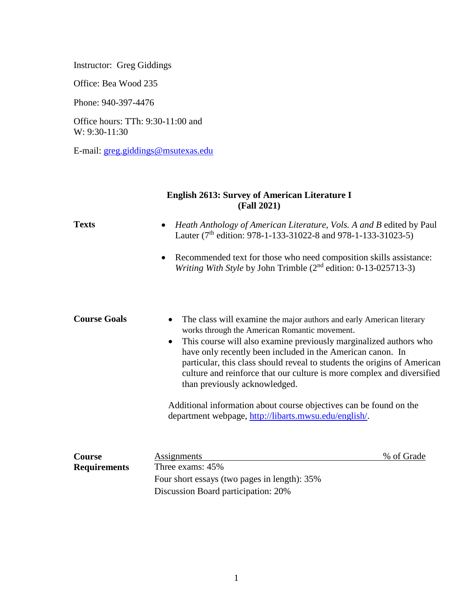Instructor: Greg Giddings

Office: Bea Wood 235

Phone: 940-397-4476

Office hours: TTh: 9:30-11:00 and W: 9:30-11:30

E-mail: [greg.giddings@msutexas.edu](mailto:greg.giddings@msutexas.edu)

## **English 2613: Survey of American Literature I (Fall 2021)**

| <b>Texts</b>                         | Heath Anthology of American Literature, Vols. A and B edited by Paul<br>$\bullet$<br>Lauter ( $7th$ edition: 978-1-133-31022-8 and 978-1-133-31023-5)<br>Recommended text for those who need composition skills assistance:<br>$\bullet$<br><i>Writing With Style by John Trimble <math>(2^{nd}</math> edition: 0-13-025713-3)</i>                                                                                                                                                                                                                                                          |            |
|--------------------------------------|---------------------------------------------------------------------------------------------------------------------------------------------------------------------------------------------------------------------------------------------------------------------------------------------------------------------------------------------------------------------------------------------------------------------------------------------------------------------------------------------------------------------------------------------------------------------------------------------|------------|
| <b>Course Goals</b>                  | The class will examine the major authors and early American literary<br>works through the American Romantic movement.<br>This course will also examine previously marginalized authors who<br>$\bullet$<br>have only recently been included in the American canon. In<br>particular, this class should reveal to students the origins of American<br>culture and reinforce that our culture is more complex and diversified<br>than previously acknowledged.<br>Additional information about course objectives can be found on the<br>department webpage, http://libarts.mwsu.edu/english/. |            |
| <b>Course</b><br><b>Requirements</b> | <b>Assignments</b><br>Three exams: 45%<br>Four short essays (two pages in length): 35%<br>Discussion Board participation: 20%                                                                                                                                                                                                                                                                                                                                                                                                                                                               | % of Grade |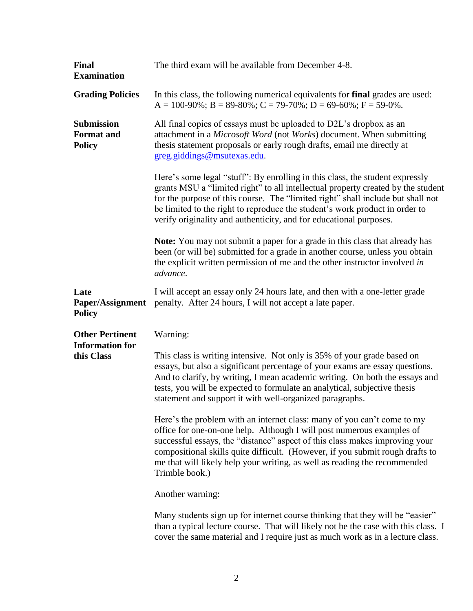| <b>Final</b><br><b>Examination</b>                             | The third exam will be available from December 4-8.                                                                                                                                                                                                                                                                                                                                                                                                                                                                                                                                                                                                                                                                                                                                                                                                                                                                                                                                                       |
|----------------------------------------------------------------|-----------------------------------------------------------------------------------------------------------------------------------------------------------------------------------------------------------------------------------------------------------------------------------------------------------------------------------------------------------------------------------------------------------------------------------------------------------------------------------------------------------------------------------------------------------------------------------------------------------------------------------------------------------------------------------------------------------------------------------------------------------------------------------------------------------------------------------------------------------------------------------------------------------------------------------------------------------------------------------------------------------|
| <b>Grading Policies</b>                                        | In this class, the following numerical equivalents for final grades are used:<br>$A = 100-90\%$ ; $B = 89-80\%$ ; $C = 79-70\%$ ; $D = 69-60\%$ ; $F = 59-0\%$ .                                                                                                                                                                                                                                                                                                                                                                                                                                                                                                                                                                                                                                                                                                                                                                                                                                          |
| <b>Submission</b><br><b>Format</b> and<br><b>Policy</b>        | All final copies of essays must be uploaded to D2L's dropbox as an<br>attachment in a Microsoft Word (not Works) document. When submitting<br>thesis statement proposals or early rough drafts, email me directly at<br>greg.giddings@msutexas.edu.                                                                                                                                                                                                                                                                                                                                                                                                                                                                                                                                                                                                                                                                                                                                                       |
|                                                                | Here's some legal "stuff": By enrolling in this class, the student expressly<br>grants MSU a "limited right" to all intellectual property created by the student<br>for the purpose of this course. The "limited right" shall include but shall not<br>be limited to the right to reproduce the student's work product in order to<br>verify originality and authenticity, and for educational purposes.                                                                                                                                                                                                                                                                                                                                                                                                                                                                                                                                                                                                  |
|                                                                | <b>Note:</b> You may not submit a paper for a grade in this class that already has<br>been (or will be) submitted for a grade in another course, unless you obtain<br>the explicit written permission of me and the other instructor involved in<br>advance.                                                                                                                                                                                                                                                                                                                                                                                                                                                                                                                                                                                                                                                                                                                                              |
| Late<br>Paper/Assignment<br><b>Policy</b>                      | I will accept an essay only 24 hours late, and then with a one-letter grade<br>penalty. After 24 hours, I will not accept a late paper.                                                                                                                                                                                                                                                                                                                                                                                                                                                                                                                                                                                                                                                                                                                                                                                                                                                                   |
| <b>Other Pertinent</b><br><b>Information for</b><br>this Class | Warning:<br>This class is writing intensive. Not only is 35% of your grade based on<br>essays, but also a significant percentage of your exams are essay questions.<br>And to clarify, by writing, I mean academic writing. On both the essays and<br>tests, you will be expected to formulate an analytical, subjective thesis<br>statement and support it with well-organized paragraphs.<br>Here's the problem with an internet class: many of you can't come to my<br>office for one-on-one help. Although I will post numerous examples of<br>successful essays, the "distance" aspect of this class makes improving your<br>compositional skills quite difficult. (However, if you submit rough drafts to<br>me that will likely help your writing, as well as reading the recommended<br>Trimble book.)<br>Another warning:<br>Many students sign up for internet course thinking that they will be "easier"<br>than a typical lecture course. That will likely not be the case with this class. I |
|                                                                | cover the same material and I require just as much work as in a lecture class.                                                                                                                                                                                                                                                                                                                                                                                                                                                                                                                                                                                                                                                                                                                                                                                                                                                                                                                            |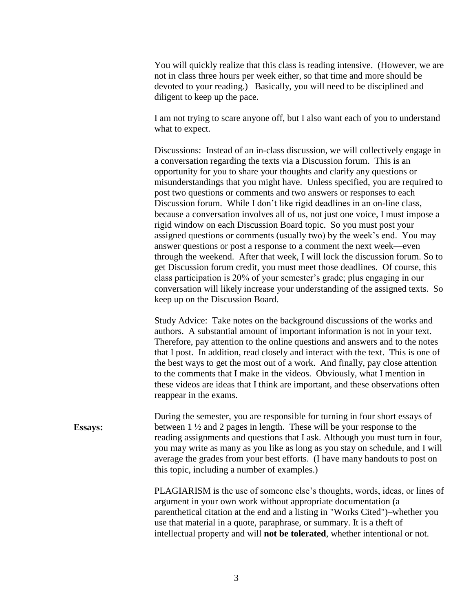You will quickly realize that this class is reading intensive. (However, we are not in class three hours per week either, so that time and more should be devoted to your reading.) Basically, you will need to be disciplined and diligent to keep up the pace.

I am not trying to scare anyone off, but I also want each of you to understand what to expect.

Discussions: Instead of an in-class discussion, we will collectively engage in a conversation regarding the texts via a Discussion forum. This is an opportunity for you to share your thoughts and clarify any questions or misunderstandings that you might have. Unless specified, you are required to post two questions or comments and two answers or responses to each Discussion forum. While I don't like rigid deadlines in an on-line class, because a conversation involves all of us, not just one voice, I must impose a rigid window on each Discussion Board topic. So you must post your assigned questions or comments (usually two) by the week's end. You may answer questions or post a response to a comment the next week—even through the weekend. After that week, I will lock the discussion forum. So to get Discussion forum credit, you must meet those deadlines. Of course, this class participation is 20% of your semester's grade; plus engaging in our conversation will likely increase your understanding of the assigned texts. So keep up on the Discussion Board.

Study Advice: Take notes on the background discussions of the works and authors. A substantial amount of important information is not in your text. Therefore, pay attention to the online questions and answers and to the notes that I post. In addition, read closely and interact with the text. This is one of the best ways to get the most out of a work. And finally, pay close attention to the comments that I make in the videos. Obviously, what I mention in these videos are ideas that I think are important, and these observations often reappear in the exams.

**Essays:**  During the semester, you are responsible for turning in four short essays of between 1 ½ and 2 pages in length. These will be your response to the reading assignments and questions that I ask. Although you must turn in four, you may write as many as you like as long as you stay on schedule, and I will average the grades from your best efforts. (I have many handouts to post on this topic, including a number of examples.)

> PLAGIARISM is the use of someone else's thoughts, words, ideas, or lines of argument in your own work without appropriate documentation (a parenthetical citation at the end and a listing in "Works Cited")–whether you use that material in a quote, paraphrase, or summary. It is a theft of intellectual property and will **not be tolerated**, whether intentional or not.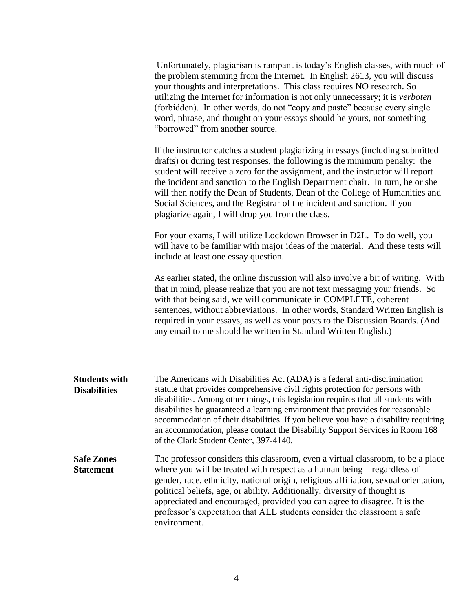|                                             | Unfortunately, plagiarism is rampant is today's English classes, with much of<br>the problem stemming from the Internet. In English 2613, you will discuss<br>your thoughts and interpretations. This class requires NO research. So<br>utilizing the Internet for information is not only unnecessary; it is verboten<br>(forbidden). In other words, do not "copy and paste" because every single<br>word, phrase, and thought on your essays should be yours, not something<br>"borrowed" from another source.                                   |
|---------------------------------------------|-----------------------------------------------------------------------------------------------------------------------------------------------------------------------------------------------------------------------------------------------------------------------------------------------------------------------------------------------------------------------------------------------------------------------------------------------------------------------------------------------------------------------------------------------------|
|                                             | If the instructor catches a student plagiarizing in essays (including submitted<br>drafts) or during test responses, the following is the minimum penalty: the<br>student will receive a zero for the assignment, and the instructor will report<br>the incident and sanction to the English Department chair. In turn, he or she<br>will then notify the Dean of Students, Dean of the College of Humanities and<br>Social Sciences, and the Registrar of the incident and sanction. If you<br>plagiarize again, I will drop you from the class.   |
|                                             | For your exams, I will utilize Lockdown Browser in D2L. To do well, you<br>will have to be familiar with major ideas of the material. And these tests will<br>include at least one essay question.                                                                                                                                                                                                                                                                                                                                                  |
|                                             | As earlier stated, the online discussion will also involve a bit of writing. With<br>that in mind, please realize that you are not text messaging your friends. So<br>with that being said, we will communicate in COMPLETE, coherent<br>sentences, without abbreviations. In other words, Standard Written English is<br>required in your essays, as well as your posts to the Discussion Boards. (And<br>any email to me should be written in Standard Written English.)                                                                          |
| <b>Students with</b><br><b>Disabilities</b> | The Americans with Disabilities Act (ADA) is a federal anti-discrimination<br>statute that provides comprehensive civil rights protection for persons with<br>disabilities. Among other things, this legislation requires that all students with<br>disabilities be guaranteed a learning environment that provides for reasonable<br>accommodation of their disabilities. If you believe you have a disability requiring<br>an accommodation, please contact the Disability Support Services in Room 168<br>of the Clark Student Center, 397-4140. |
| <b>Safe Zones</b><br>Statement              | The professor considers this classroom, even a virtual classroom, to be a place<br>where you will be treated with respect as a human being – regardless of<br>gender, race, ethnicity, national origin, religious affiliation, sexual orientation,<br>political beliefs, age, or ability. Additionally, diversity of thought is<br>appreciated and encouraged, provided you can agree to disagree. It is the<br>professor's expectation that ALL students consider the classroom a safe<br>environment.                                             |